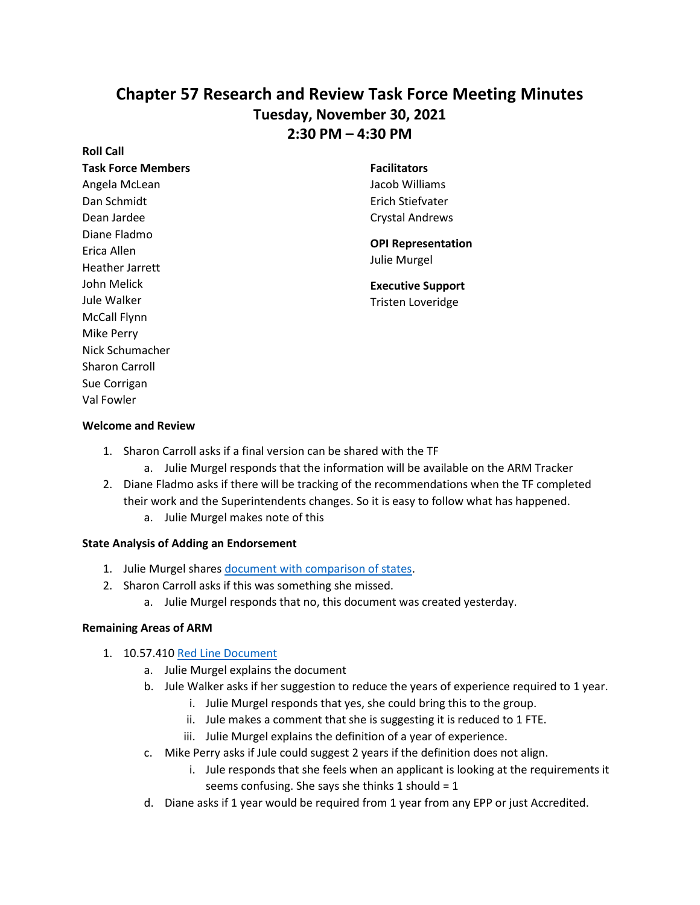# **Chapter 57 Research and Review Task Force Meeting Minutes Tuesday, November 30, 2021 2:30 PM – 4:30 PM**

| וושט ווטוו                |                                           |
|---------------------------|-------------------------------------------|
| <b>Task Force Members</b> | <b>Facilitators</b>                       |
| Angela McLean             | Jacob Williams                            |
| Dan Schmidt               | Erich Stiefvater                          |
| Dean Jardee               | <b>Crystal Andrews</b>                    |
| Diane Fladmo              |                                           |
| Erica Allen               | <b>OPI Representation</b><br>Julie Murgel |
| <b>Heather Jarrett</b>    |                                           |
| John Melick               | <b>Executive Support</b>                  |
| Jule Walker               | Tristen Loveridge                         |
| <b>McCall Flynn</b>       |                                           |
| <b>Mike Perry</b>         |                                           |
| Nick Schumacher           |                                           |
| <b>Sharon Carroll</b>     |                                           |
| Sue Corrigan              |                                           |

#### **Welcome and Review**

Val Fowler

**Roll Call** 

- 1. Sharon Carroll asks if a final version can be shared with the TF
	- a. Julie Murgel responds that the information will be available on the ARM Tracker
- 2. Diane Fladmo asks if there will be tracking of the recommendations when the TF completed their work and the Superintendents changes. So it is easy to follow what has happened.
	- a. Julie Murgel makes note of this

### **State Analysis of Adding an Endorsement**

- 1. Julie Murgel share[s document with comparison of states.](https://docs.google.com/document/d/1VWaMImLq6IuSX1Va7t_wEjnmh9dGbfnf/edit?usp=sharing&ouid=101729359523949914592&rtpof=true&sd=true)
- 2. Sharon Carroll asks if this was something she missed.
	- a. Julie Murgel responds that no, this document was created yesterday.

#### **Remaining Areas of ARM**

- 1. 10.57.410 [Red Line Document](https://docs.google.com/document/d/1VWaMImLq6IuSX1Va7t_wEjnmh9dGbfnf/edit?usp=sharing&ouid=101729359523949914592&rtpof=true&sd=true)
	- a. Julie Murgel explains the document
	- b. Jule Walker asks if her suggestion to reduce the years of experience required to 1 year.
		- i. Julie Murgel responds that yes, she could bring this to the group.
		- ii. Jule makes a comment that she is suggesting it is reduced to 1 FTE.
		- iii. Julie Murgel explains the definition of a year of experience.
	- c. Mike Perry asks if Jule could suggest 2 years if the definition does not align.
		- i. Jule responds that she feels when an applicant is looking at the requirements it seems confusing. She says she thinks 1 should  $= 1$
	- d. Diane asks if 1 year would be required from 1 year from any EPP or just Accredited.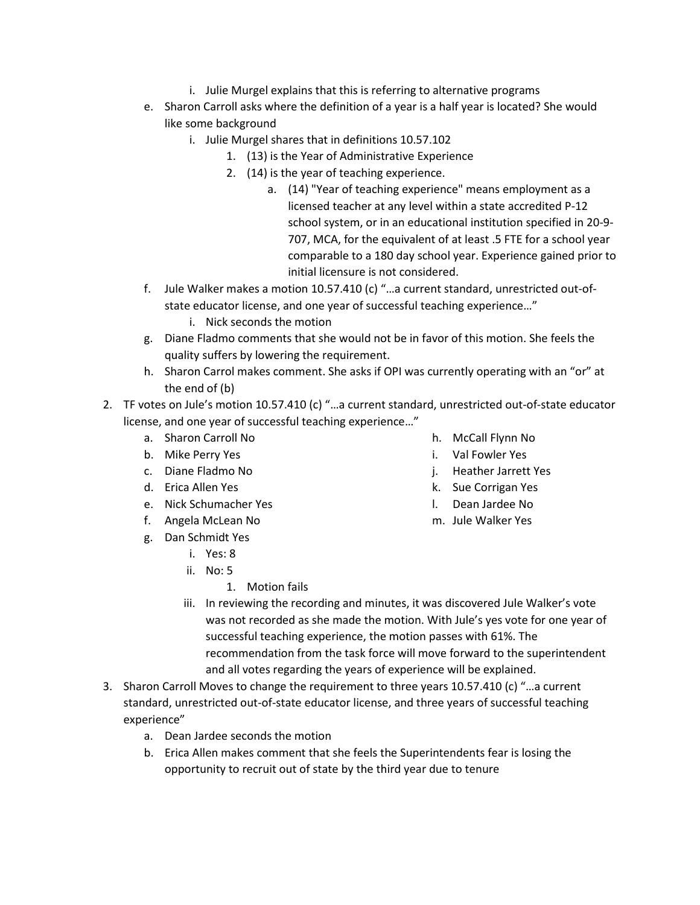- i. Julie Murgel explains that this is referring to alternative programs
- e. Sharon Carroll asks where the definition of a year is a half year is located? She would like some background
	- i. Julie Murgel shares that in definitions 10.57.102
		- 1. (13) is the Year of Administrative Experience
		- 2. (14) is the year of teaching experience.
			- a. (14) "Year of teaching experience" means employment as a licensed teacher at any level within a state accredited P-12 school system, or in an educational institution specified in [20-9-](http://leg.mt.gov/bills/mca/title_0200/chapter_0090/part_0070/section_0070/0200-0090-0070-0070.html) [707,](http://leg.mt.gov/bills/mca/title_0200/chapter_0090/part_0070/section_0070/0200-0090-0070-0070.html) MCA, for the equivalent of at least .5 FTE for a school year comparable to a 180 day school year. Experience gained prior to initial licensure is not considered.
- f. Jule Walker makes a motion 10.57.410 (c) "…a current standard, unrestricted out-ofstate educator license, and one year of successful teaching experience…"
	- i. Nick seconds the motion
- g. Diane Fladmo comments that she would not be in favor of this motion. She feels the quality suffers by lowering the requirement.
- h. Sharon Carrol makes comment. She asks if OPI was currently operating with an "or" at the end of (b)
- 2. TF votes on Jule's motion 10.57.410 (c) "…a current standard, unrestricted out-of-state educator license, and one year of successful teaching experience…"
	- a. Sharon Carroll No
	- b. Mike Perry Yes
	- c. Diane Fladmo No
	- d. Erica Allen Yes
	- e. Nick Schumacher Yes
	- f. Angela McLean No
	- g. Dan Schmidt Yes
		- i. Yes: 8
		- ii. No: 5
			- 1. Motion fails
- h. McCall Flynn No
- i. Val Fowler Yes
- j. Heather Jarrett Yes
- k. Sue Corrigan Yes
- l. Dean Jardee No
- m. Jule Walker Yes

- 
- iii. In reviewing the recording and minutes, it was discovered Jule Walker's vote was not recorded as she made the motion. With Jule's yes vote for one year of successful teaching experience, the motion passes with 61%. The recommendation from the task force will move forward to the superintendent and all votes regarding the years of experience will be explained.
- 3. Sharon Carroll Moves to change the requirement to three years 10.57.410 (c) "…a current standard, unrestricted out-of-state educator license, and three years of successful teaching experience"
	- a. Dean Jardee seconds the motion
	- b. Erica Allen makes comment that she feels the Superintendents fear is losing the opportunity to recruit out of state by the third year due to tenure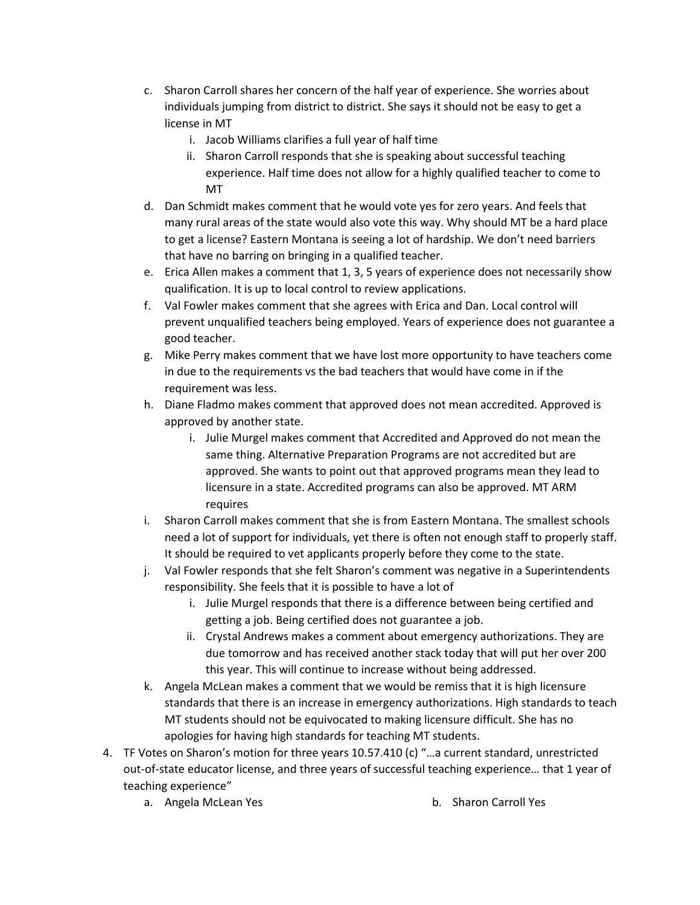- c. Sharon Carroll shares her concern of the half year of experience. She worries about individuals jumping from district to district. She says it should not be easy to get a license in MT
	- i. Jacob Williams clarifies a full year of half time
	- ii. Sharon Carroll responds that she is speaking about successful teaching experience. Half time does not allow for a highly qualified teacher to come to MT
- d. Dan Schmidt makes comment that he would vote yes for zero years. And feels that many rural areas of the state would also vote this way. Why should MT be a hard place to get a license? Eastern Montana is seeing a lot of hardship. We don't need barriers that have no barring on bringing in a qualified teacher.
- e. Erica Allen makes a comment that 1, 3, 5 years of experience does not necessarily show qualification. It is up to local control to review applications.
- f. Val Fowler makes comment that she agrees with Erica and Dan. Local control will prevent unqualified teachers being employed. Years of experience does not guarantee a good teacher.
- g. Mike Perry makes comment that we have lost more opportunity to have teachers come in due to the requirements vs the bad teachers that would have come in if the requirement was less.
- h. Diane Fladmo makes comment that approved does not mean accredited. Approved is approved by another state.
	- i. Julie Murgel makes comment that Accredited and Approved do not mean the same thing. Alternative Preparation Programs are not accredited but are approved. She wants to point out that approved programs mean they lead to licensure in a state. Accredited programs can also be approved. MT ARM requires
- i. Sharon Carroll makes comment that she is from Eastern Montana. The smallest schools need a lot of support for individuals, yet there is often not enough staff to properly staff. It should be required to vet applicants properly before they come to the state.
- j. Val Fowler responds that she felt Sharon's comment was negative in a Superintendents responsibility. She feels that it is possible to have a lot of
	- i. Julie Murgel responds that there is a difference between being certified and getting a job. Being certified does not guarantee a job.
	- ii. Crystal Andrews makes a comment about emergency authorizations. They are due tomorrow and has received another stack today that will put her over 200 this year. This will continue to increase without being addressed.
- k. Angela McLean makes a comment that we would be remiss that it is high licensure standards that there is an increase in emergency authorizations. High standards to teach MT students should not be equivocated to making licensure difficult. She has no apologies for having high standards for teaching MT students.
- 4. TF Votes on Sharon's motion for three years 10.57.410 (c) "…a current standard, unrestricted out-of-state educator license, and three years of successful teaching experience… that 1 year of teaching experience"
	- a. Angela McLean Yes b. Sharon Carroll Yes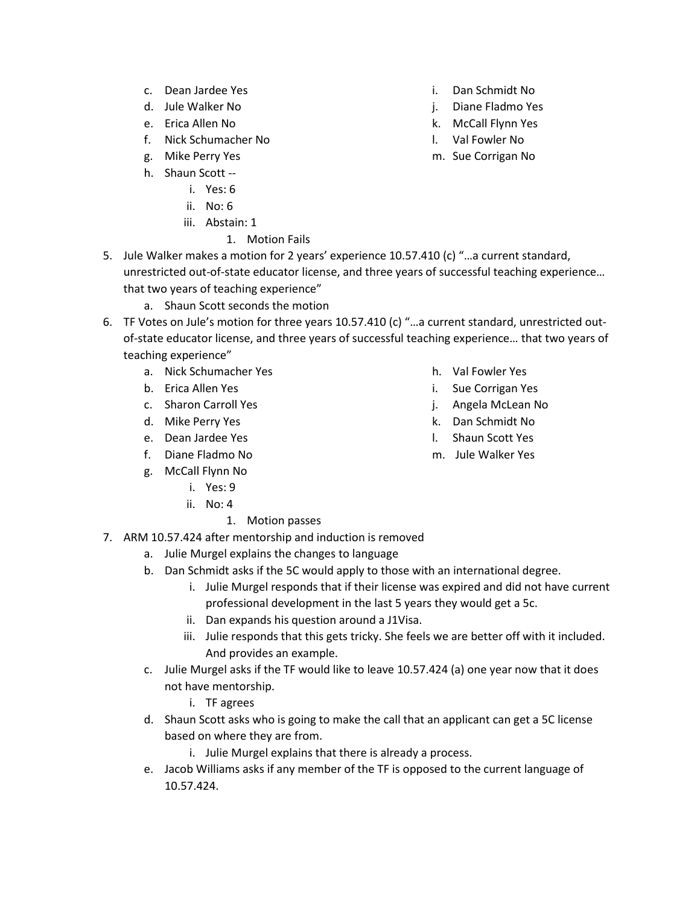- c. Dean Jardee Yes
- d. Jule Walker No
- e. Erica Allen No
- f. Nick Schumacher No
- g. Mike Perry Yes
- h. Shaun Scott
	- i. Yes: 6
	- ii. No: 6
	- iii. Abstain: 1
		- 1. Motion Fails
- 5. Jule Walker makes a motion for 2 years' experience 10.57.410 (c) "…a current standard, unrestricted out-of-state educator license, and three years of successful teaching experience… that two years of teaching experience"
	- a. Shaun Scott seconds the motion
- 6. TF Votes on Jule's motion for three years 10.57.410 (c) "…a current standard, unrestricted outof-state educator license, and three years of successful teaching experience… that two years of teaching experience"
	- a. Nick Schumacher Yes
	- b. Erica Allen Yes
	- c. Sharon Carroll Yes
	- d. Mike Perry Yes
	- e. Dean Jardee Yes
	- f. Diane Fladmo No
	- g. McCall Flynn No
		- i. Yes: 9
		- ii. No: 4
			- 1. Motion passes
- 7. ARM 10.57.424 after mentorship and induction is removed
	- a. Julie Murgel explains the changes to language
	- b. Dan Schmidt asks if the 5C would apply to those with an international degree.
		- i. Julie Murgel responds that if their license was expired and did not have current professional development in the last 5 years they would get a 5c.
		- ii. Dan expands his question around a J1Visa.
		- iii. Julie responds that this gets tricky. She feels we are better off with it included. And provides an example.
	- c. Julie Murgel asks if the TF would like to leave 10.57.424 (a) one year now that it does not have mentorship.
		- i. TF agrees
	- d. Shaun Scott asks who is going to make the call that an applicant can get a 5C license based on where they are from.
		- i. Julie Murgel explains that there is already a process.
	- e. Jacob Williams asks if any member of the TF is opposed to the current language of 10.57.424.
- i. Dan Schmidt No
- j. Diane Fladmo Yes
- k. McCall Flynn Yes
- l. Val Fowler No
- m. Sue Corrigan No

- h. Val Fowler Yes
- i. Sue Corrigan Yes
- j. Angela McLean No
- k. Dan Schmidt No
- l. Shaun Scott Yes
- m. Jule Walker Yes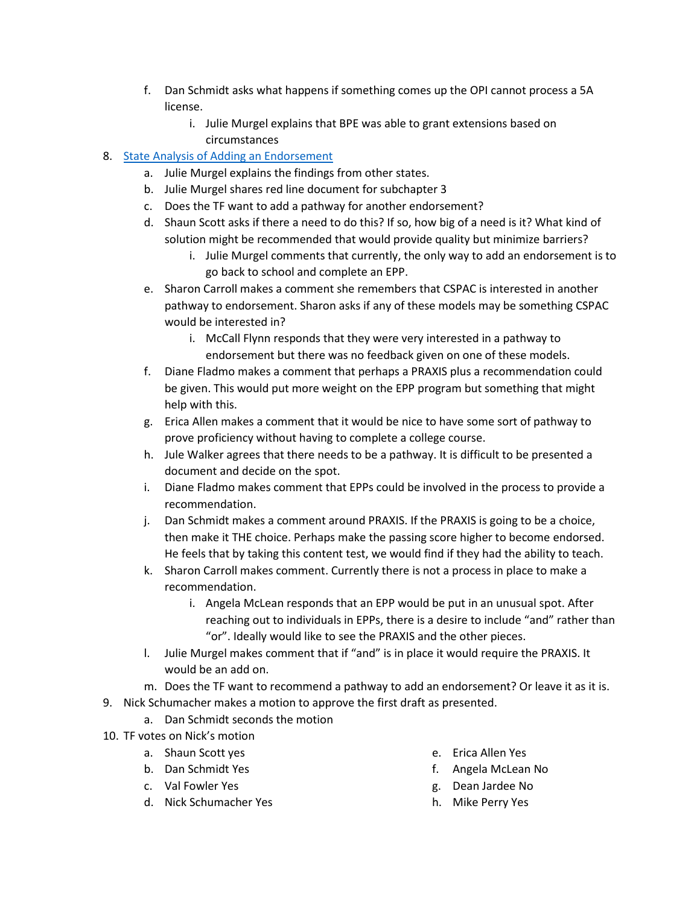- f. Dan Schmidt asks what happens if something comes up the OPI cannot process a 5A license.
	- i. Julie Murgel explains that BPE was able to grant extensions based on circumstances

## 8. [State Analysis of Adding an Endorsement](https://docs.google.com/document/d/1m0y3KCS5Z4uACGTxEW6EnoXMsKM35-Jm/edit?usp=sharing&ouid=101729359523949914592&rtpof=true&sd=true)

- a. Julie Murgel explains the findings from other states.
- b. Julie Murgel shares red line document for subchapter 3
- c. Does the TF want to add a pathway for another endorsement?
- d. Shaun Scott asks if there a need to do this? If so, how big of a need is it? What kind of solution might be recommended that would provide quality but minimize barriers?
	- i. Julie Murgel comments that currently, the only way to add an endorsement is to go back to school and complete an EPP.
- e. Sharon Carroll makes a comment she remembers that CSPAC is interested in another pathway to endorsement. Sharon asks if any of these models may be something CSPAC would be interested in?
	- i. McCall Flynn responds that they were very interested in a pathway to endorsement but there was no feedback given on one of these models.
- f. Diane Fladmo makes a comment that perhaps a PRAXIS plus a recommendation could be given. This would put more weight on the EPP program but something that might help with this.
- g. Erica Allen makes a comment that it would be nice to have some sort of pathway to prove proficiency without having to complete a college course.
- h. Jule Walker agrees that there needs to be a pathway. It is difficult to be presented a document and decide on the spot.
- i. Diane Fladmo makes comment that EPPs could be involved in the process to provide a recommendation.
- j. Dan Schmidt makes a comment around PRAXIS. If the PRAXIS is going to be a choice, then make it THE choice. Perhaps make the passing score higher to become endorsed. He feels that by taking this content test, we would find if they had the ability to teach.
- k. Sharon Carroll makes comment. Currently there is not a process in place to make a recommendation.
	- i. Angela McLean responds that an EPP would be put in an unusual spot. After reaching out to individuals in EPPs, there is a desire to include "and" rather than "or". Ideally would like to see the PRAXIS and the other pieces.
- l. Julie Murgel makes comment that if "and" is in place it would require the PRAXIS. It would be an add on.
- m. Does the TF want to recommend a pathway to add an endorsement? Or leave it as it is.
- 9. Nick Schumacher makes a motion to approve the first draft as presented.
	- a. Dan Schmidt seconds the motion
- 10. TF votes on Nick's motion
	- a. Shaun Scott yes
	- b. Dan Schmidt Yes
	- c. Val Fowler Yes
	- d. Nick Schumacher Yes
- e. Erica Allen Yes
- f. Angela McLean No
- g. Dean Jardee No
- h. Mike Perry Yes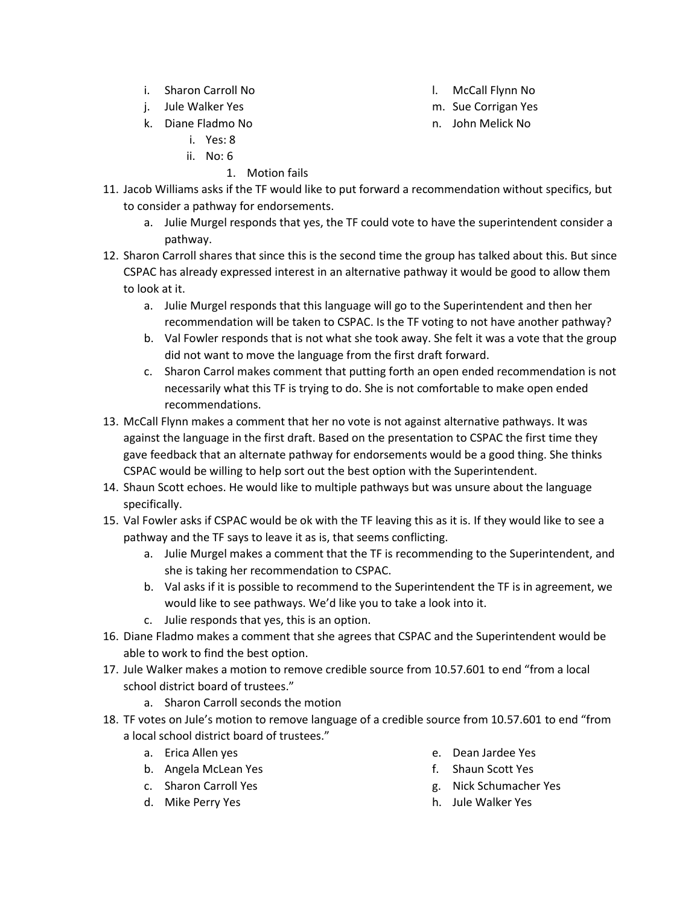- i. Sharon Carroll No
- j. Jule Walker Yes
- k. Diane Fladmo No
	- i. Yes: 8
	- ii. No: 6
		- 1. Motion fails
- 11. Jacob Williams asks if the TF would like to put forward a recommendation without specifics, but to consider a pathway for endorsements.
	- a. Julie Murgel responds that yes, the TF could vote to have the superintendent consider a pathway.
- 12. Sharon Carroll shares that since this is the second time the group has talked about this. But since CSPAC has already expressed interest in an alternative pathway it would be good to allow them to look at it.
	- a. Julie Murgel responds that this language will go to the Superintendent and then her recommendation will be taken to CSPAC. Is the TF voting to not have another pathway?
	- b. Val Fowler responds that is not what she took away. She felt it was a vote that the group did not want to move the language from the first draft forward.
	- c. Sharon Carrol makes comment that putting forth an open ended recommendation is not necessarily what this TF is trying to do. She is not comfortable to make open ended recommendations.
- 13. McCall Flynn makes a comment that her no vote is not against alternative pathways. It was against the language in the first draft. Based on the presentation to CSPAC the first time they gave feedback that an alternate pathway for endorsements would be a good thing. She thinks CSPAC would be willing to help sort out the best option with the Superintendent.
- 14. Shaun Scott echoes. He would like to multiple pathways but was unsure about the language specifically.
- 15. Val Fowler asks if CSPAC would be ok with the TF leaving this as it is. If they would like to see a pathway and the TF says to leave it as is, that seems conflicting.
	- a. Julie Murgel makes a comment that the TF is recommending to the Superintendent, and she is taking her recommendation to CSPAC.
	- b. Val asks if it is possible to recommend to the Superintendent the TF is in agreement, we would like to see pathways. We'd like you to take a look into it.
	- c. Julie responds that yes, this is an option.
- 16. Diane Fladmo makes a comment that she agrees that CSPAC and the Superintendent would be able to work to find the best option.
- 17. Jule Walker makes a motion to remove credible source from 10.57.601 to end "from a local school district board of trustees."
	- a. Sharon Carroll seconds the motion
- 18. TF votes on Jule's motion to remove language of a credible source from 10.57.601 to end "from a local school district board of trustees."
	- a. Erica Allen yes
	- b. Angela McLean Yes
	- c. Sharon Carroll Yes
	- d. Mike Perry Yes
- e. Dean Jardee Yes
- f. Shaun Scott Yes
- g. Nick Schumacher Yes
- h. Jule Walker Yes
- l. McCall Flynn No
- m. Sue Corrigan Yes
- n. John Melick No